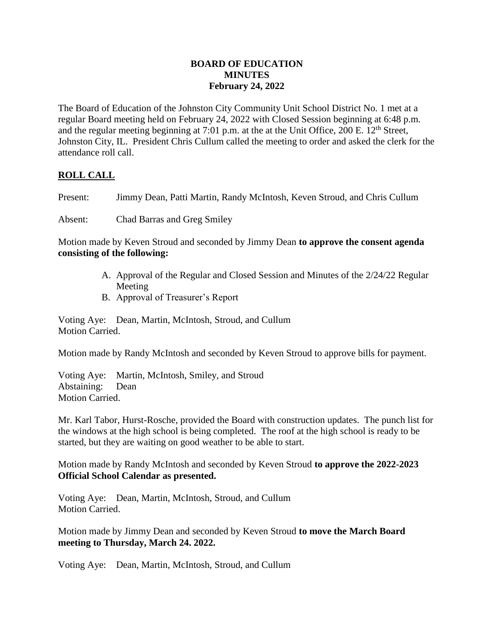## **BOARD OF EDUCATION MINUTES February 24, 2022**

The Board of Education of the Johnston City Community Unit School District No. 1 met at a regular Board meeting held on February 24, 2022 with Closed Session beginning at 6:48 p.m. and the regular meeting beginning at 7:01 p.m. at the at the Unit Office, 200 E.  $12<sup>th</sup>$  Street, Johnston City, IL. President Chris Cullum called the meeting to order and asked the clerk for the attendance roll call.

## **ROLL CALL**

Present: Jimmy Dean, Patti Martin, Randy McIntosh, Keven Stroud, and Chris Cullum

Absent: Chad Barras and Greg Smiley

Motion made by Keven Stroud and seconded by Jimmy Dean **to approve the consent agenda consisting of the following:**

- A. Approval of the Regular and Closed Session and Minutes of the 2/24/22 Regular Meeting
- B. Approval of Treasurer's Report

Voting Aye: Dean, Martin, McIntosh, Stroud, and Cullum Motion Carried.

Motion made by Randy McIntosh and seconded by Keven Stroud to approve bills for payment.

Voting Aye: Martin, McIntosh, Smiley, and Stroud Abstaining: Dean Motion Carried.

Mr. Karl Tabor, Hurst-Rosche, provided the Board with construction updates. The punch list for the windows at the high school is being completed. The roof at the high school is ready to be started, but they are waiting on good weather to be able to start.

Motion made by Randy McIntosh and seconded by Keven Stroud **to approve the 2022-2023 Official School Calendar as presented.**

Voting Aye: Dean, Martin, McIntosh, Stroud, and Cullum Motion Carried.

Motion made by Jimmy Dean and seconded by Keven Stroud **to move the March Board meeting to Thursday, March 24. 2022.**

Voting Aye: Dean, Martin, McIntosh, Stroud, and Cullum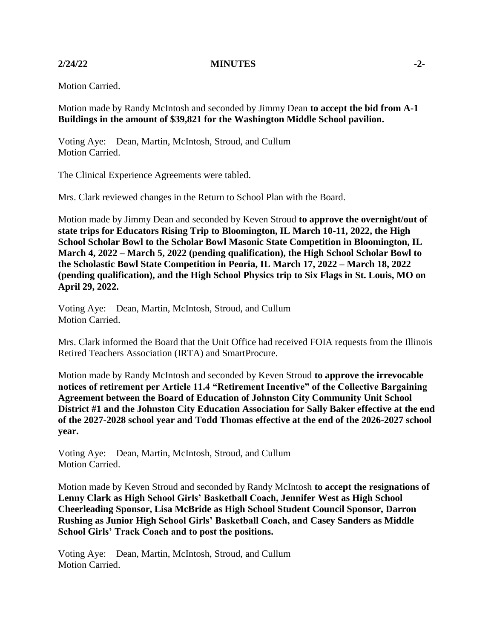**2/24/22 MINUTES -2-**

Motion Carried.

Motion made by Randy McIntosh and seconded by Jimmy Dean **to accept the bid from A-1 Buildings in the amount of \$39,821 for the Washington Middle School pavilion.**

Voting Aye: Dean, Martin, McIntosh, Stroud, and Cullum Motion Carried.

The Clinical Experience Agreements were tabled.

Mrs. Clark reviewed changes in the Return to School Plan with the Board.

Motion made by Jimmy Dean and seconded by Keven Stroud **to approve the overnight/out of state trips for Educators Rising Trip to Bloomington, IL March 10-11, 2022, the High School Scholar Bowl to the Scholar Bowl Masonic State Competition in Bloomington, IL March 4, 2022 – March 5, 2022 (pending qualification), the High School Scholar Bowl to the Scholastic Bowl State Competition in Peoria, IL March 17, 2022 – March 18, 2022 (pending qualification), and the High School Physics trip to Six Flags in St. Louis, MO on April 29, 2022.**

Voting Aye: Dean, Martin, McIntosh, Stroud, and Cullum Motion Carried.

Mrs. Clark informed the Board that the Unit Office had received FOIA requests from the Illinois Retired Teachers Association (IRTA) and SmartProcure.

Motion made by Randy McIntosh and seconded by Keven Stroud **to approve the irrevocable notices of retirement per Article 11.4 "Retirement Incentive" of the Collective Bargaining Agreement between the Board of Education of Johnston City Community Unit School District #1 and the Johnston City Education Association for Sally Baker effective at the end of the 2027-2028 school year and Todd Thomas effective at the end of the 2026-2027 school year.**

Voting Aye: Dean, Martin, McIntosh, Stroud, and Cullum Motion Carried.

Motion made by Keven Stroud and seconded by Randy McIntosh **to accept the resignations of Lenny Clark as High School Girls' Basketball Coach, Jennifer West as High School Cheerleading Sponsor, Lisa McBride as High School Student Council Sponsor, Darron Rushing as Junior High School Girls' Basketball Coach, and Casey Sanders as Middle School Girls' Track Coach and to post the positions.**

Voting Aye: Dean, Martin, McIntosh, Stroud, and Cullum Motion Carried.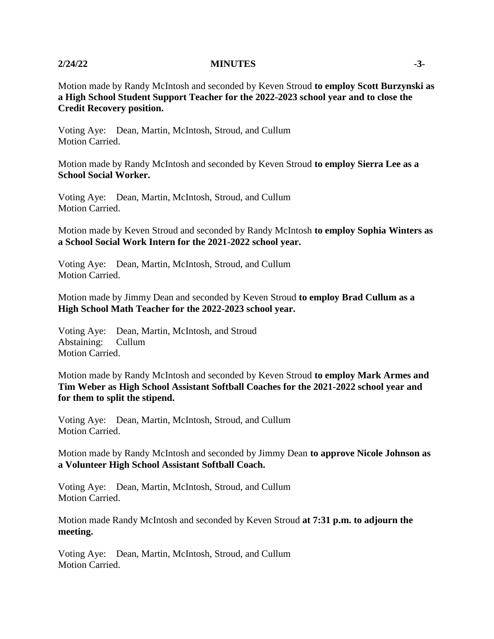## **2/24/22 MINUTES -3-**

Motion made by Randy McIntosh and seconded by Keven Stroud **to employ Scott Burzynski as a High School Student Support Teacher for the 2022-2023 school year and to close the Credit Recovery position.**

Voting Aye: Dean, Martin, McIntosh, Stroud, and Cullum Motion Carried.

Motion made by Randy McIntosh and seconded by Keven Stroud **to employ Sierra Lee as a School Social Worker.**

Voting Aye: Dean, Martin, McIntosh, Stroud, and Cullum Motion Carried.

Motion made by Keven Stroud and seconded by Randy McIntosh **to employ Sophia Winters as a School Social Work Intern for the 2021-2022 school year.**

Voting Aye: Dean, Martin, McIntosh, Stroud, and Cullum Motion Carried.

Motion made by Jimmy Dean and seconded by Keven Stroud **to employ Brad Cullum as a High School Math Teacher for the 2022-2023 school year.**

Voting Aye: Dean, Martin, McIntosh, and Stroud Abstaining: Cullum Motion Carried.

Motion made by Randy McIntosh and seconded by Keven Stroud **to employ Mark Armes and Tim Weber as High School Assistant Softball Coaches for the 2021-2022 school year and for them to split the stipend.**

Voting Aye: Dean, Martin, McIntosh, Stroud, and Cullum Motion Carried.

Motion made by Randy McIntosh and seconded by Jimmy Dean **to approve Nicole Johnson as a Volunteer High School Assistant Softball Coach.**

Voting Aye: Dean, Martin, McIntosh, Stroud, and Cullum Motion Carried.

Motion made Randy McIntosh and seconded by Keven Stroud **at 7:31 p.m. to adjourn the meeting.**

Voting Aye: Dean, Martin, McIntosh, Stroud, and Cullum Motion Carried.